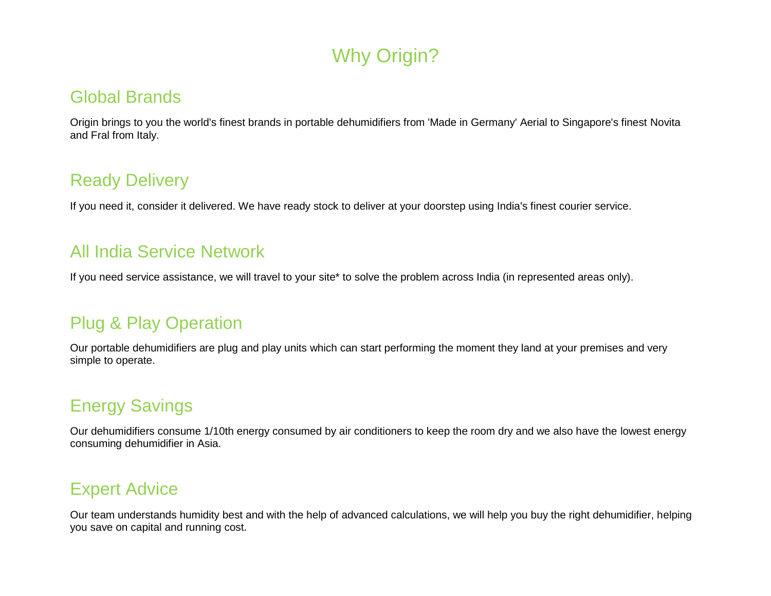## Why Origin?

#### Global Brands

Origin brings to you the world's finest brands in portable dehumidifiers from 'Made in Germany' Aerial to Singapore's finest Novita and Fral from Italy.

#### Ready Delivery

If you need it, consider it delivered. We have ready stock to deliver at your doorstep using India's finest courier service.

#### All India Service Network

If you need service assistance, we will travel to your site\* to solve the problem across India (in represented areas only).

## Plug & Play Operation

Our portable dehumidifiers are plug and play units which can start performing the moment they land at your premises and very simple to operate.

## Energy Savings

Our dehumidifiers consume 1/10th energy consumed by air conditioners to keep the room dry and we also have the lowest energy consuming dehumidifier in Asia.

## Expert Advice

Our team understands humidity best and with the help of advanced calculations, we will help you buy the right dehumidifier, helping you save on capital and running cost.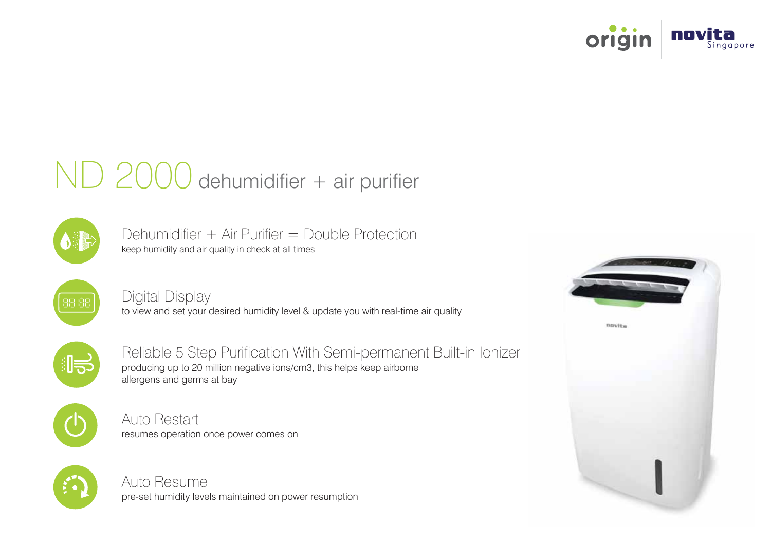

# ND 2000 dehumidifier + air purifier



keep humidity and air quality in check at all times Dehumidifier + Air Purifier = Double Protection



Digital Display

to view and set your desired humidity level & update you with real-time air quality



Reliable 5 Step Purification With Semi-permanent Built-in Ionizer producing up to 20 million negative ions/cm3, this helps keep airborne allergens and germs at bay



Auto Restart resumes operation once power comes on



Auto Resume pre-set humidity levels maintained on power resumption

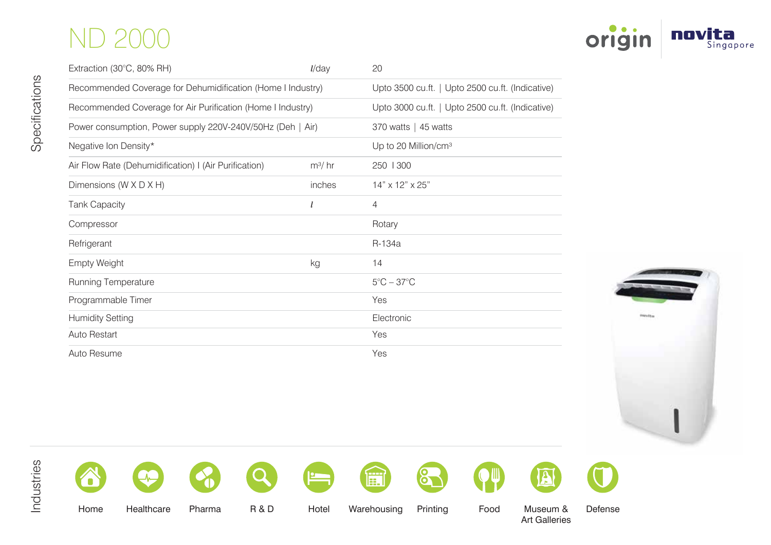## ND 2000

| Extraction (30°C, 80% RH)                                   | $l$ /day                                         | 20                              |  |  |
|-------------------------------------------------------------|--------------------------------------------------|---------------------------------|--|--|
| Recommended Coverage for Dehumidification (Home I Industry) | Upto 3500 cu.ft.   Upto 2500 cu.ft. (Indicative) |                                 |  |  |
| Recommended Coverage for Air Purification (Home I Industry) | Upto 3000 cu.ft.   Upto 2500 cu.ft. (Indicative) |                                 |  |  |
| Power consumption, Power supply 220V-240V/50Hz (Deh   Air)  | 370 watts $\vert$ 45 watts                       |                                 |  |  |
| Negative Ion Density*                                       | Up to 20 Million/cm <sup>3</sup>                 |                                 |  |  |
| Air Flow Rate (Dehumidification) I (Air Purification)       | $m^3/hr$                                         | 250   300                       |  |  |
| Dimensions (W X D X H)                                      | inches                                           | 14" x 12" x 25"                 |  |  |
| <b>Tank Capacity</b>                                        |                                                  | 4                               |  |  |
| Compressor                                                  |                                                  | Rotary                          |  |  |
| Refrigerant                                                 |                                                  | R-134a                          |  |  |
| <b>Empty Weight</b>                                         | kg                                               | 14                              |  |  |
| Running Temperature                                         |                                                  | $5^{\circ}$ C – 37 $^{\circ}$ C |  |  |
| Programmable Timer                                          |                                                  | Yes                             |  |  |
| <b>Humidity Setting</b>                                     |                                                  | Electronic                      |  |  |
| Auto Restart                                                |                                                  | Yes                             |  |  |
| Auto Resume                                                 |                                                  | Yes                             |  |  |









 $\Omega$ 

















Home Healthcare Pharma R & D Hotel Warehousing Printing Food Museum &

Art Galleries

Defense